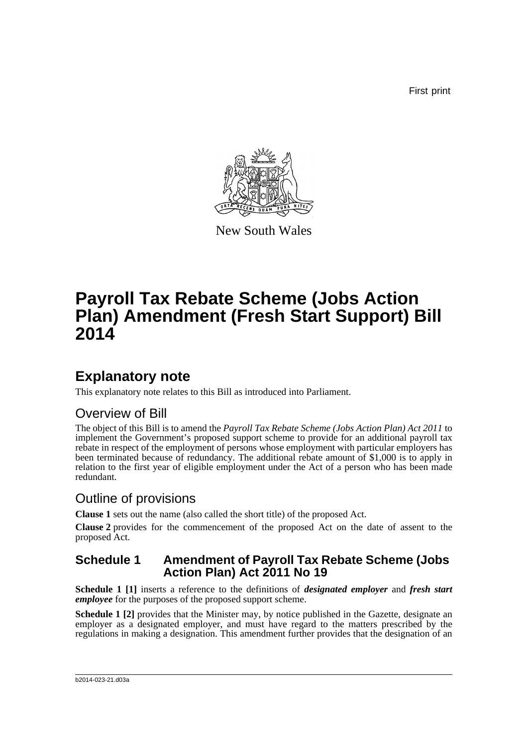First print



New South Wales

# **Payroll Tax Rebate Scheme (Jobs Action Plan) Amendment (Fresh Start Support) Bill 2014**

## **Explanatory note**

This explanatory note relates to this Bill as introduced into Parliament.

### Overview of Bill

The object of this Bill is to amend the *Payroll Tax Rebate Scheme (Jobs Action Plan) Act 2011* to implement the Government's proposed support scheme to provide for an additional payroll tax rebate in respect of the employment of persons whose employment with particular employers has been terminated because of redundancy. The additional rebate amount of \$1,000 is to apply in relation to the first year of eligible employment under the Act of a person who has been made redundant.

### Outline of provisions

**Clause 1** sets out the name (also called the short title) of the proposed Act.

**Clause 2** provides for the commencement of the proposed Act on the date of assent to the proposed Act.

### **Schedule 1 Amendment of Payroll Tax Rebate Scheme (Jobs Action Plan) Act 2011 No 19**

**Schedule 1 [1]** inserts a reference to the definitions of *designated employer* and *fresh start employee* for the purposes of the proposed support scheme.

**Schedule 1 [2]** provides that the Minister may, by notice published in the Gazette, designate an employer as a designated employer, and must have regard to the matters prescribed by the regulations in making a designation. This amendment further provides that the designation of an

#### b2014-023-21.d03a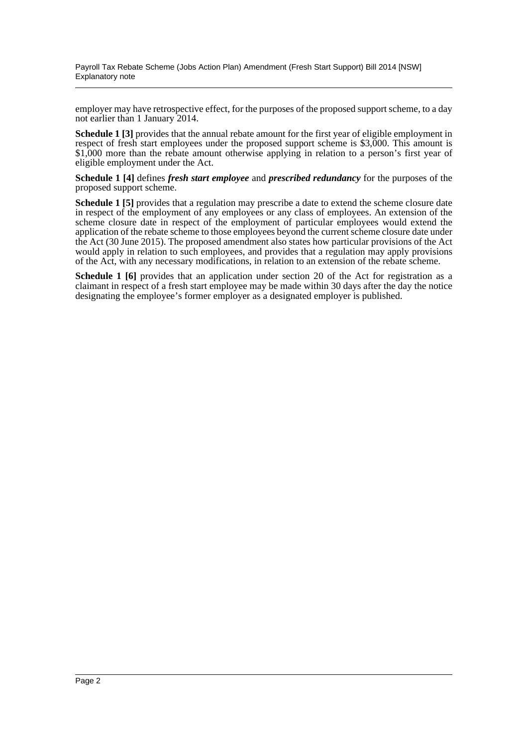Payroll Tax Rebate Scheme (Jobs Action Plan) Amendment (Fresh Start Support) Bill 2014 [NSW] Explanatory note

employer may have retrospective effect, for the purposes of the proposed support scheme, to a day not earlier than 1 January 2014.

**Schedule 1 [3]** provides that the annual rebate amount for the first year of eligible employment in respect of fresh start employees under the proposed support scheme is \$3,000. This amount is \$1,000 more than the rebate amount otherwise applying in relation to a person's first year of eligible employment under the Act.

**Schedule 1 [4]** defines *fresh start employee* and *prescribed redundancy* for the purposes of the proposed support scheme.

**Schedule 1 [5]** provides that a regulation may prescribe a date to extend the scheme closure date in respect of the employment of any employees or any class of employees. An extension of the scheme closure date in respect of the employment of particular employees would extend the application of the rebate scheme to those employees beyond the current scheme closure date under the Act (30 June 2015). The proposed amendment also states how particular provisions of the Act would apply in relation to such employees, and provides that a regulation may apply provisions of the Act, with any necessary modifications, in relation to an extension of the rebate scheme.

**Schedule 1 [6]** provides that an application under section 20 of the Act for registration as a claimant in respect of a fresh start employee may be made within 30 days after the day the notice designating the employee's former employer as a designated employer is published.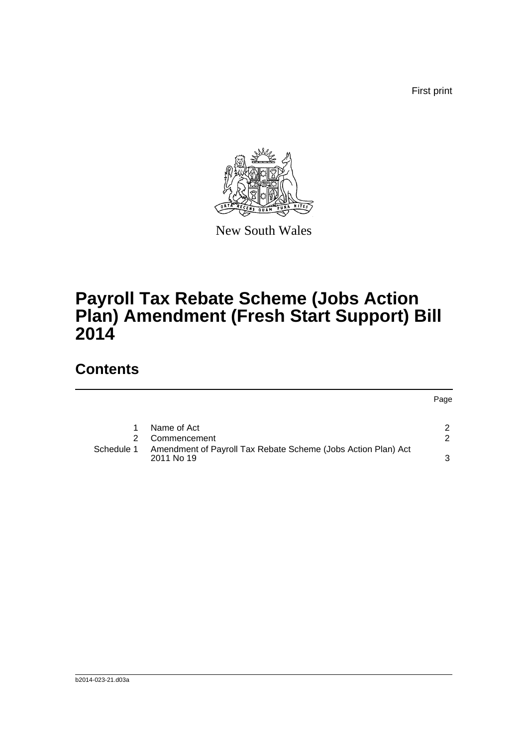First print



New South Wales

# **Payroll Tax Rebate Scheme (Jobs Action Plan) Amendment (Fresh Start Support) Bill 2014**

## **Contents**

|            |                                                                              | Page          |
|------------|------------------------------------------------------------------------------|---------------|
|            | Name of Act                                                                  | 2             |
|            | Commencement                                                                 | $\mathcal{P}$ |
| Schedule 1 | Amendment of Payroll Tax Rebate Scheme (Jobs Action Plan) Act<br>2011 No. 19 | 3             |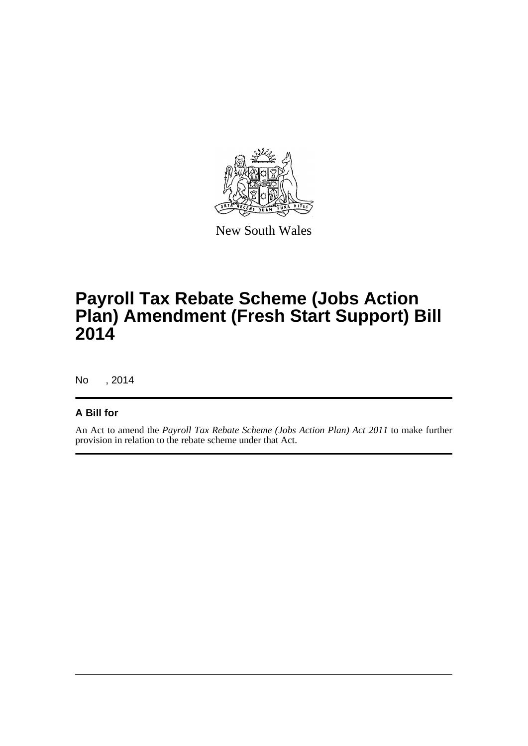

New South Wales

# **Payroll Tax Rebate Scheme (Jobs Action Plan) Amendment (Fresh Start Support) Bill 2014**

No , 2014

### **A Bill for**

An Act to amend the *Payroll Tax Rebate Scheme (Jobs Action Plan) Act 2011* to make further provision in relation to the rebate scheme under that Act.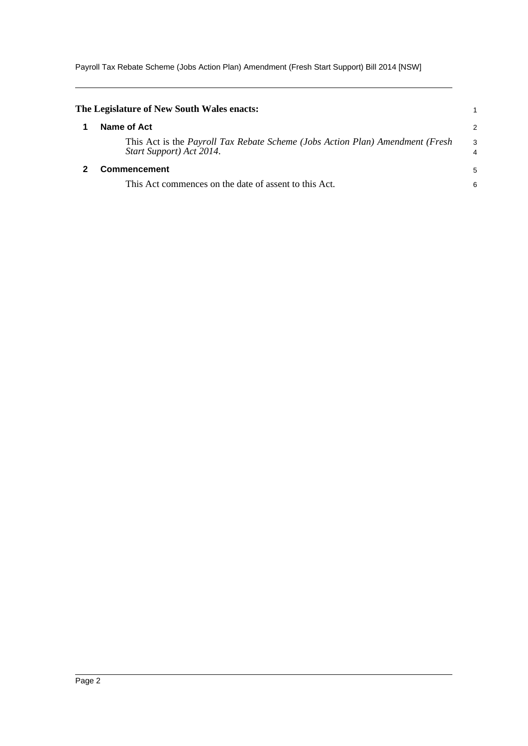Payroll Tax Rebate Scheme (Jobs Action Plan) Amendment (Fresh Start Support) Bill 2014 [NSW]

<span id="page-4-1"></span><span id="page-4-0"></span>

| The Legislature of New South Wales enacts:                                                                |                     |
|-----------------------------------------------------------------------------------------------------------|---------------------|
| Name of Act                                                                                               | 2                   |
| This Act is the Payroll Tax Rebate Scheme (Jobs Action Plan) Amendment (Fresh<br>Start Support) Act 2014. | 3<br>$\overline{4}$ |
| <b>Commencement</b>                                                                                       |                     |
| This Act commences on the date of assent to this Act.                                                     | 6                   |
|                                                                                                           |                     |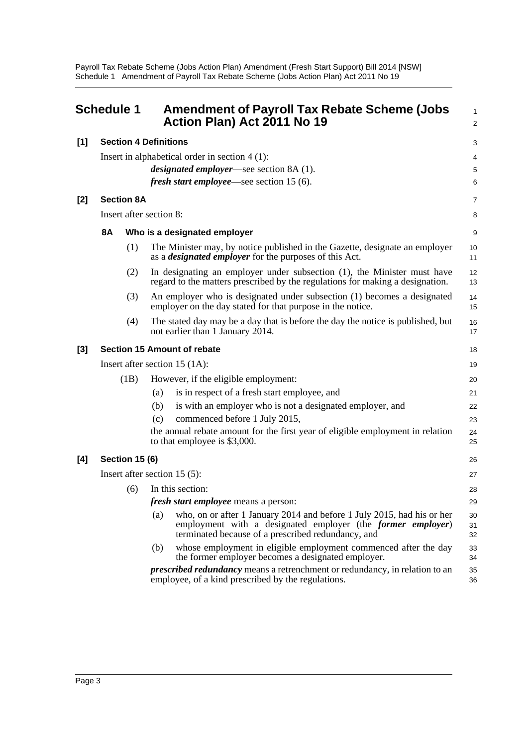Payroll Tax Rebate Scheme (Jobs Action Plan) Amendment (Fresh Start Support) Bill 2014 [NSW] Schedule 1 Amendment of Payroll Tax Rebate Scheme (Jobs Action Plan) Act 2011 No 19

<span id="page-5-0"></span>

| <b>Schedule 1</b>                    |                                                  |     | <b>Amendment of Payroll Tax Rebate Scheme (Jobs</b><br>Action Plan) Act 2011 No 19                                                                                                                  | $\mathbf{1}$<br>2 |
|--------------------------------------|--------------------------------------------------|-----|-----------------------------------------------------------------------------------------------------------------------------------------------------------------------------------------------------|-------------------|
| [1]                                  | <b>Section 4 Definitions</b>                     |     |                                                                                                                                                                                                     | 3                 |
|                                      | Insert in alphabetical order in section $4(1)$ : |     |                                                                                                                                                                                                     |                   |
|                                      |                                                  |     | <i>designated employer</i> —see section 8A (1).                                                                                                                                                     | 4<br>5            |
|                                      |                                                  |     | <i>fresh start employee</i> —see section 15 (6).                                                                                                                                                    | 6                 |
| $[2]$                                | <b>Section 8A</b>                                |     |                                                                                                                                                                                                     | 7                 |
|                                      | Insert after section 8:                          |     |                                                                                                                                                                                                     |                   |
|                                      | <b>8A</b>                                        |     | Who is a designated employer                                                                                                                                                                        | 9                 |
|                                      | (1)                                              |     | The Minister may, by notice published in the Gazette, designate an employer<br>as a <i>designated employer</i> for the purposes of this Act.                                                        | 10<br>11          |
|                                      | (2)                                              |     | In designating an employer under subsection (1), the Minister must have<br>regard to the matters prescribed by the regulations for making a designation.                                            | 12<br>13          |
|                                      | (3)                                              |     | An employer who is designated under subsection (1) becomes a designated<br>employer on the day stated for that purpose in the notice.                                                               | 14<br>15          |
|                                      | (4)                                              |     | The stated day may be a day that is before the day the notice is published, but<br>not earlier than 1 January 2014.                                                                                 | 16<br>17          |
| Section 15 Amount of rebate<br>$[3]$ |                                                  |     |                                                                                                                                                                                                     |                   |
|                                      | Insert after section 15 $(1A)$ :                 |     |                                                                                                                                                                                                     | 19                |
|                                      | (1B)                                             |     | However, if the eligible employment:                                                                                                                                                                | 20                |
|                                      |                                                  | (a) | is in respect of a fresh start employee, and                                                                                                                                                        | 21                |
|                                      |                                                  | (b) | is with an employer who is not a designated employer, and                                                                                                                                           | 22                |
|                                      |                                                  | (c) | commenced before 1 July 2015,                                                                                                                                                                       | 23                |
|                                      |                                                  |     | the annual rebate amount for the first year of eligible employment in relation<br>to that employee is \$3,000.                                                                                      | 24<br>25          |
| [4]                                  | <b>Section 15 (6)</b>                            |     |                                                                                                                                                                                                     |                   |
|                                      | Insert after section $15(5)$ :                   |     |                                                                                                                                                                                                     |                   |
|                                      | (6)                                              |     | In this section:                                                                                                                                                                                    | 28                |
|                                      |                                                  |     | <i>fresh start employee</i> means a person:                                                                                                                                                         | 29                |
|                                      |                                                  | (a) | who, on or after 1 January 2014 and before 1 July 2015, had his or her<br>employment with a designated employer (the <i>former employer</i> )<br>terminated because of a prescribed redundancy, and | 30<br>31<br>32    |
|                                      |                                                  | (b) | whose employment in eligible employment commenced after the day<br>the former employer becomes a designated employer.                                                                               | 33<br>34          |
|                                      |                                                  |     | <i>prescribed redundancy</i> means a retrenchment or redundancy, in relation to an<br>employee, of a kind prescribed by the regulations.                                                            | 35<br>36          |